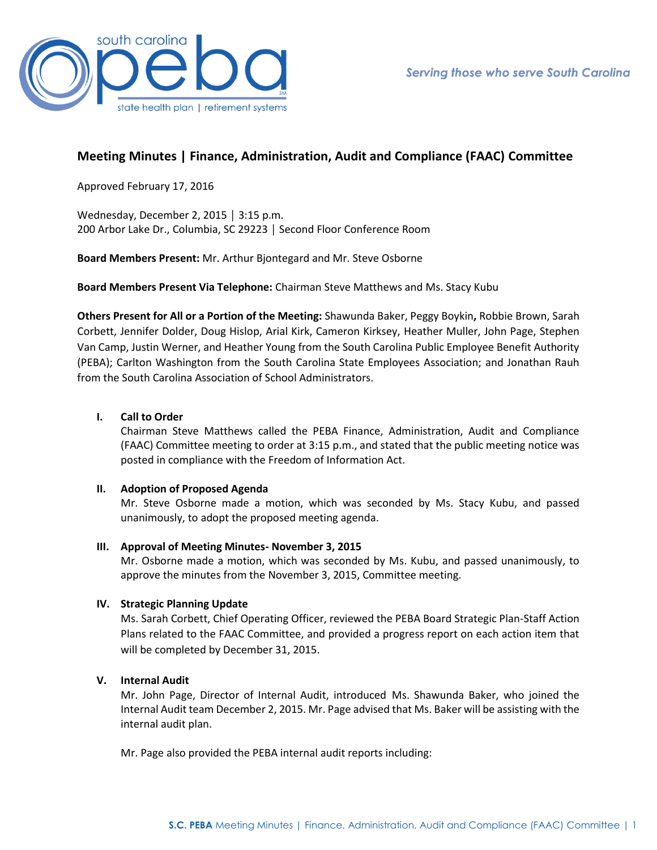

# **Meeting Minutes | Finance, Administration, Audit and Compliance (FAAC) Committee**

Approved February 17, 2016

Wednesday, December 2, 2015 │ 3:15 p.m. 200 Arbor Lake Dr., Columbia, SC 29223 │ Second Floor Conference Room

**Board Members Present:** Mr. Arthur Bjontegard and Mr. Steve Osborne

**Board Members Present Via Telephone:** Chairman Steve Matthews and Ms. Stacy Kubu

**Others Present for All or a Portion of the Meeting:** Shawunda Baker, Peggy Boykin**,** Robbie Brown, Sarah Corbett, Jennifer Dolder, Doug Hislop, Arial Kirk, Cameron Kirksey, Heather Muller, John Page, Stephen Van Camp, Justin Werner, and Heather Young from the South Carolina Public Employee Benefit Authority (PEBA); Carlton Washington from the South Carolina State Employees Association; and Jonathan Rauh from the South Carolina Association of School Administrators.

### **I. Call to Order**

Chairman Steve Matthews called the PEBA Finance, Administration, Audit and Compliance (FAAC) Committee meeting to order at 3:15 p.m., and stated that the public meeting notice was posted in compliance with the Freedom of Information Act.

### **II. Adoption of Proposed Agenda**

Mr. Steve Osborne made a motion, which was seconded by Ms. Stacy Kubu, and passed unanimously, to adopt the proposed meeting agenda.

### **III. Approval of Meeting Minutes- November 3, 2015**

Mr. Osborne made a motion, which was seconded by Ms. Kubu, and passed unanimously, to approve the minutes from the November 3, 2015, Committee meeting.

### **IV. Strategic Planning Update**

Ms. Sarah Corbett, Chief Operating Officer, reviewed the PEBA Board Strategic Plan-Staff Action Plans related to the FAAC Committee, and provided a progress report on each action item that will be completed by December 31, 2015.

### **V. Internal Audit**

Mr. John Page, Director of Internal Audit, introduced Ms. Shawunda Baker, who joined the Internal Audit team December 2, 2015. Mr. Page advised that Ms. Baker will be assisting with the internal audit plan.

Mr. Page also provided the PEBA internal audit reports including: